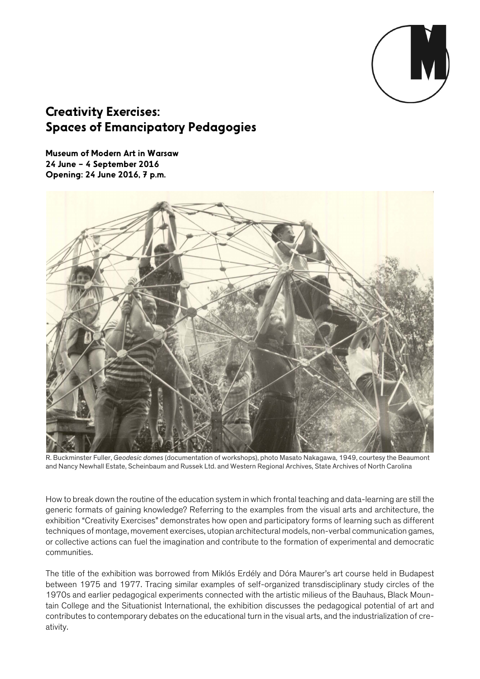

## Creativity Exercises: Spaces of Emancipatory Pedagogies

Museum of Modern Art in Warsaw 24 June – 4 September 2016 Opening: 24 June 2016, 7 p.m.



R. Buckminster Fuller, *Geodesic domes* (documentation of workshops), photo Masato Nakagawa, 1949, courtesy the Beaumont and Nancy Newhall Estate, Scheinbaum and Russek Ltd. and Western Regional Archives, State Archives of North Carolina

How to break down the routine of the education system in which frontal teaching and data-learning are still the generic formats of gaining knowledge? Referring to the examples from the visual arts and architecture, the exhibition "Creativity Exercises" demonstrates how open and participatory forms of learning such as different techniques of montage, movement exercises, utopian architectural models, non-verbal communication games, or collective actions can fuel the imagination and contribute to the formation of experimental and democratic communities.

The title of the exhibition was borrowed from Miklós Erdély and Dóra Maurer's art course held in Budapest between 1975 and 1977. Tracing similar examples of self-organized transdisciplinary study circles of the 1970s and earlier pedagogical experiments connected with the artistic milieus of the Bauhaus, Black Mountain College and the Situationist International, the exhibition discusses the pedagogical potential of art and contributes to contemporary debates on the educational turn in the visual arts, and the industrialization of creativity.